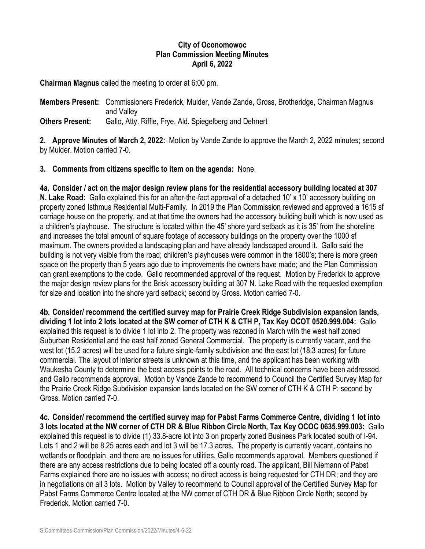## **City of Oconomowoc Plan Commission Meeting Minutes April 6, 2022**

**Chairman Magnus** called the meeting to order at 6:00 pm.

**Members Present:** Commissioners Frederick, Mulder, Vande Zande, Gross, Brotheridge, Chairman Magnus and Valley

**Others Present:** Gallo, Atty. Riffle, Frye, Ald. Spiegelberg and Dehnert

**2. Approve Minutes of March 2, 2022:** Motion by Vande Zande to approve the March 2, 2022 minutes; second by Mulder. Motion carried 7-0.

## **3. Comments from citizens specific to item on the agenda:** None.

**4a. Consider / act on the major design review plans for the residential accessory building located at 307 N. Lake Road:** Gallo explained this for an after-the-fact approval of a detached 10' x 10' accessory building on property zoned Isthmus Residential Multi-Family. In 2019 the Plan Commission reviewed and approved a 1615 sf carriage house on the property, and at that time the owners had the accessory building built which is now used as a children's playhouse. The structure is located within the 45' shore yard setback as it is 35' from the shoreline and increases the total amount of square footage of accessory buildings on the property over the 1000 sf maximum. The owners provided a landscaping plan and have already landscaped around it. Gallo said the building is not very visible from the road; children's playhouses were common in the 1800's; there is more green space on the property than 5 years ago due to improvements the owners have made; and the Plan Commission can grant exemptions to the code. Gallo recommended approval of the request. Motion by Frederick to approve the major design review plans for the Brisk accessory building at 307 N. Lake Road with the requested exemption for size and location into the shore yard setback; second by Gross. Motion carried 7-0.

**4b. Consider/ recommend the certified survey map for Prairie Creek Ridge Subdivision expansion lands, dividing 1 lot into 2 lots located at the SW corner of CTH K & CTH P, Tax Key OCOT 0520.999.004:** Gallo explained this request is to divide 1 lot into 2. The property was rezoned in March with the west half zoned Suburban Residential and the east half zoned General Commercial. The property is currently vacant, and the west lot (15.2 acres) will be used for a future single-family subdivision and the east lot (18.3 acres) for future commercial. The layout of interior streets is unknown at this time, and the applicant has been working with Waukesha County to determine the best access points to the road. All technical concerns have been addressed, and Gallo recommends approval. Motion by Vande Zande to recommend to Council the Certified Survey Map for the Prairie Creek Ridge Subdivision expansion lands located on the SW corner of CTH K & CTH P; second by Gross. Motion carried 7-0.

**4c. Consider/ recommend the certified survey map for Pabst Farms Commerce Centre, dividing 1 lot into 3 lots located at the NW corner of CTH DR & Blue Ribbon Circle North, Tax Key OCOC 0635.999.003:** Gallo explained this request is to divide (1) 33.8-acre lot into 3 on property zoned Business Park located south of I-94. Lots 1 and 2 will be 8.25 acres each and lot 3 will be 17.3 acres. The property is currently vacant, contains no wetlands or floodplain, and there are no issues for utilities. Gallo recommends approval. Members questioned if there are any access restrictions due to being located off a county road. The applicant, Bill Niemann of Pabst Farms explained there are no issues with access; no direct access is being requested for CTH DR; and they are in negotiations on all 3 lots. Motion by Valley to recommend to Council approval of the Certified Survey Map for Pabst Farms Commerce Centre located at the NW corner of CTH DR & Blue Ribbon Circle North; second by Frederick. Motion carried 7-0.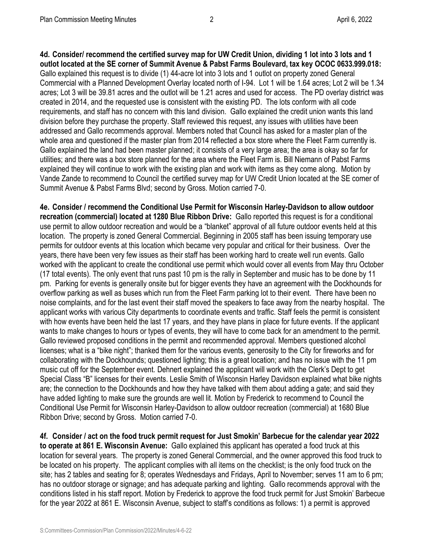**4d. Consider/ recommend the certified survey map for UW Credit Union, dividing 1 lot into 3 lots and 1 outlot located at the SE corner of Summit Avenue & Pabst Farms Boulevard, tax key OCOC 0633.999.018:**  Gallo explained this request is to divide (1) 44-acre lot into 3 lots and 1 outlot on property zoned General Commercial with a Planned Development Overlay located north of I-94. Lot 1 will be 1.64 acres; Lot 2 will be 1.34 acres; Lot 3 will be 39.81 acres and the outlot will be 1.21 acres and used for access. The PD overlay district was created in 2014, and the requested use is consistent with the existing PD. The lots conform with all code requirements, and staff has no concern with this land division. Gallo explained the credit union wants this land division before they purchase the property. Staff reviewed this request, any issues with utilities have been addressed and Gallo recommends approval. Members noted that Council has asked for a master plan of the whole area and questioned if the master plan from 2014 reflected a box store where the Fleet Farm currently is. Gallo explained the land had been master planned; it consists of a very large area; the area is okay so far for utilities; and there was a box store planned for the area where the Fleet Farm is. Bill Niemann of Pabst Farms explained they will continue to work with the existing plan and work with items as they come along. Motion by Vande Zande to recommend to Council the certified survey map for UW Credit Union located at the SE corner of Summit Avenue & Pabst Farms Blvd; second by Gross. Motion carried 7-0.

**4e. Consider / recommend the Conditional Use Permit for Wisconsin Harley-Davidson to allow outdoor recreation (commercial) located at 1280 Blue Ribbon Drive:** Gallo reported this request is for a conditional use permit to allow outdoor recreation and would be a "blanket" approval of all future outdoor events held at this location. The property is zoned General Commercial. Beginning in 2005 staff has been issuing temporary use permits for outdoor events at this location which became very popular and critical for their business. Over the years, there have been very few issues as their staff has been working hard to create well run events. Gallo worked with the applicant to create the conditional use permit which would cover all events from May thru October (17 total events). The only event that runs past 10 pm is the rally in September and music has to be done by 11 pm. Parking for events is generally onsite but for bigger events they have an agreement with the Dockhounds for overflow parking as well as buses which run from the Fleet Farm parking lot to their event. There have been no noise complaints, and for the last event their staff moved the speakers to face away from the nearby hospital. The applicant works with various City departments to coordinate events and traffic. Staff feels the permit is consistent with how events have been held the last 17 years, and they have plans in place for future events. If the applicant wants to make changes to hours or types of events, they will have to come back for an amendment to the permit. Gallo reviewed proposed conditions in the permit and recommended approval. Members questioned alcohol licenses; what is a "bike night"; thanked them for the various events, generosity to the City for fireworks and for collaborating with the Dockhounds; questioned lighting; this is a great location; and has no issue with the 11 pm music cut off for the September event. Dehnert explained the applicant will work with the Clerk's Dept to get Special Class "B" licenses for their events. Leslie Smith of Wisconsin Harley Davidson explained what bike nights are; the connection to the Dockhounds and how they have talked with them about adding a gate; and said they have added lighting to make sure the grounds are well lit. Motion by Frederick to recommend to Council the Conditional Use Permit for Wisconsin Harley-Davidson to allow outdoor recreation (commercial) at 1680 Blue Ribbon Drive; second by Gross. Motion carried 7-0.

**4f. Consider / act on the food truck permit request for Just Smokin' Barbecue for the calendar year 2022 to operate at 861 E. Wisconsin Avenue:** Gallo explained this applicant has operated a food truck at this location for several years. The property is zoned General Commercial, and the owner approved this food truck to be located on his property. The applicant complies with all items on the checklist; is the only food truck on the site; has 2 tables and seating for 8; operates Wednesdays and Fridays, April to November; serves 11 am to 6 pm; has no outdoor storage or signage; and has adequate parking and lighting. Gallo recommends approval with the conditions listed in his staff report. Motion by Frederick to approve the food truck permit for Just Smokin' Barbecue for the year 2022 at 861 E. Wisconsin Avenue, subject to staff's conditions as follows: 1) a permit is approved